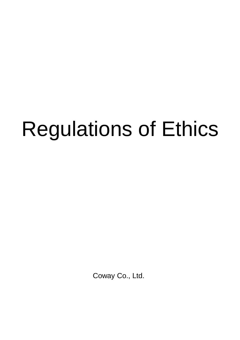# Regulations of Ethics

Coway Co., Ltd.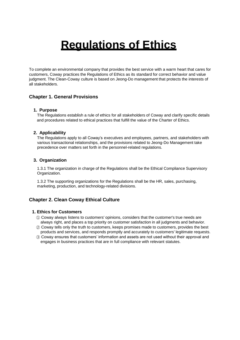# **Regulations of Ethics**

To complete an environmental company that provides the best service with a warm heart that cares for customers, Coway practices the Regulations of Ethics as its standard for correct behavior and value judgment. The Clean-Coway culture is based on Jeong-Do management that protects the interests of all stakeholders.

# **Chapter 1. General Provisions**

#### **1. Purpose**

The Regulations establish a rule of ethics for all stakeholders of Coway and clarify specific details and procedures related to ethical practices that fulfill the value of the Charter of Ethics.

#### **2. Applicability**

The Regulations apply to all Coway's executives and employees, partners, and stakeholders with various transactional relationships, and the provisions related to Jeong-Do Management take precedence over matters set forth in the personnel-related regulations.

#### **3. Organization**

1.3.1 The organization in charge of the Regulations shall be the Ethical Compliance Supervisory Organization.

1.3.2 The supporting organizations for the Regulations shall be the HR, sales, purchasing, marketing, production, and technology-related divisions.

# **Chapter 2. Clean Coway Ethical Culture**

#### **1. Ethics for Customers**

- ① Coway always listens to customers' opinions, considers that the customer's true needs are always right, and places a top priority on customer satisfaction in all judgments and behavior.
- ② Coway tells only the truth to customers, keeps promises made to customers, provides the best products and services, and responds promptly and accurately to customers' legitimate requests.
- ③ Coway ensures that customers' information and assets are not used without their approval and engages in business practices that are in full compliance with relevant statutes.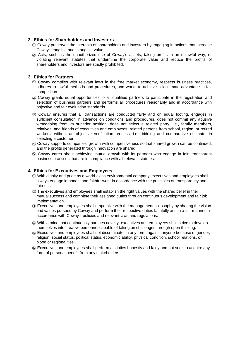#### **2. Ethics for Shareholders and Investors**

- ① Coway preserves the interests of shareholders and investors by engaging in actions that increase Coway's tangible and intangible value.
- ② Acts, such as the unauthorized use of Coway's assets, taking profits in an unlawful way, or violating relevant statutes that undermine the corporate value and reduce the profits of shareholders and investors are strictly prohibited.

#### **3. Ethics for Partners**

- ① Coway complies with relevant laws in the free market economy, respects business practices, adheres to lawful methods and procedures, and works to achieve a legitimate advantage in fair competition.
- ② Coway grants equal opportunities to all qualified partners to participate in the registration and selection of business partners and performs all procedures reasonably and in accordance with objective and fair evaluation standards.
- ③ Coway ensures that all transactions are conducted fairly and on equal footing, engages in sufficient consultation in advance on conditions and procedures, does not commit any abusive wrongdoing from its superior position, does not select a related party, i.e., family members, relatives, and friends of executives and employees, related persons from school, region, or retired workers, without an objective verification process, i.e., bidding and comparative estimate, in selecting a customer.
- ④ Coway supports companies' growth with competitiveness so that shared growth can be continued, and the profits generated through innovation are shared.
- ⑤ Coway cares about achieving mutual growth with its partners who engage in fair, transparent business practices that are in compliance with all relevant statutes.

#### **4. Ethics for Executives and Employees**

- ① With dignity and pride as a world-class environmental company, executives and employees shall always engage in honest and faithful work in accordance with the principles of transparency and fairness.
- ② The executives and employees shall establish the right values with the shared belief in their mutual success and complete their assigned duties through continuous development and fair job implementation.
- ③ Executives and employees shall empathize with the management philosophy by sharing the vision and values pursued by Coway and perform their respective duties faithfully and in a fair manner in accordance with Coway's policies and relevant laws and regulations.
- ④ With a mind that continuously pursues novelty, executives and employees shall strive to develop themselves into creative personnel capable of taking on challenges through open thinking.
- ⑤ Executives and employees shall not discriminate, in any form, against anyone because of gender, religion, social status, political status, economic ability, physical condition, school relations, or blood or regional ties.
- ⑥ Executives and employees shall perform all duties honestly and fairly and not seek to acquire any form of personal benefit from any stakeholders.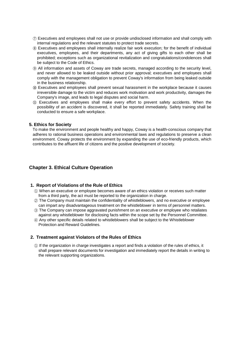- ⑦ Executives and employees shall not use or provide undisclosed information and shall comply with internal regulations and the relevant statutes to protect trade secrets.
- ⑧ Executives and employees shall internally realize fair work execution; for the benefit of individual executives, employees, and their departments, any act of giving gifts to each other shall be prohibited; exceptions such as organizational revitalization and congratulations/condolences shall be subject to the Code of Ethics.
- ⑨ All information and assets of Coway are trade secrets, managed according to the security level, and never allowed to be leaked outside without prior approval; executives and employees shall comply with the management obligation to prevent Coway's information from being leaked outside in the business relationship.
- ⑩ Executives and employees shall prevent sexual harassment in the workplace because it causes irreversible damage to the victim and reduces work motivation and work productivity, damages the Company's image, and leads to legal disputes and social harm.
- ⑪ Executives and employees shall make every effort to prevent safety accidents. When the possibility of an accident is discovered, it shall be reported immediately. Safety training shall be conducted to ensure a safe workplace.

#### **5. Ethics for Society**

To make the environment and people healthy and happy, Coway is a health-conscious company that adheres to rational business operations and environmental laws and regulations to preserve a clean environment. Coway protects the environment by expanding the use of eco-friendly products, which contributes to the affluent life of citizens and the positive development of society.

### **Chapter 3. Ethical Culture Operation**

#### **1. Report of Violations of the Rule of Ethics**

- ① When an executive or employee becomes aware of an ethics violation or receives such matter from a third party, the act must be reported to the organization in charge.
- ② The Company must maintain the confidentiality of whistleblowers, and no executive or employee can impart any disadvantageous treatment on the whistleblower in terms of personnel matters.
- ③ The Company can impose aggravated punishment on an executive or employee who retaliates against any whistleblower for disclosing facts within the scope set by the Personnel Committee.
- ④ Any other specific details related to whistleblowers shall be subject to the Whistleblower Protection and Reward Guidelines.

#### **2. Treatment against Violators of the Rules of Ethics**

① If the organization in charge investigates a report and finds a violation of the rules of ethics, it shall prepare relevant documents for investigation and immediately report the details in writing to the relevant supporting organizations.